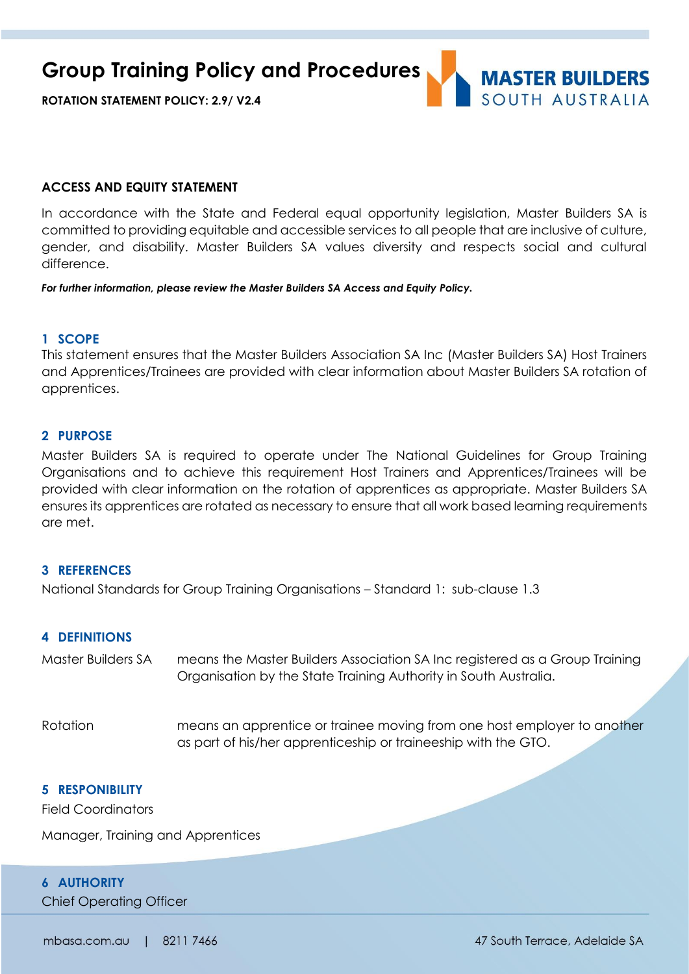**Group Training Policy and Procedures**





#### **ACCESS AND EQUITY STATEMENT**

In accordance with the State and Federal equal opportunity legislation, Master Builders SA is committed to providing equitable and accessible services to all people that are inclusive of culture, gender, and disability. Master Builders SA values diversity and respects social and cultural difference.

*For further information, please review the Master Builders SA Access and Equity Policy.*

### **1 SCOPE**

This statement ensures that the Master Builders Association SA Inc (Master Builders SA) Host Trainers and Apprentices/Trainees are provided with clear information about Master Builders SA rotation of apprentices.

### **2 PURPOSE**

Master Builders SA is required to operate under The National Guidelines for Group Training Organisations and to achieve this requirement Host Trainers and Apprentices/Trainees will be provided with clear information on the rotation of apprentices as appropriate. Master Builders SA ensures its apprentices are rotated as necessary to ensure that all work based learning requirements are met.

#### **3 REFERENCES**

National Standards for Group Training Organisations – Standard 1: sub-clause 1.3

## **4 DEFINITIONS**

| Master Builders SA | means the Master Builders Association SA Inc registered as a Group Training<br>Organisation by the State Training Authority in South Australia. |
|--------------------|-------------------------------------------------------------------------------------------------------------------------------------------------|
| Rotation           | means an apprentice or trainee moving from one host employer to another<br>as part of his/her apprenticeship or traineeship with the GTO.       |

## **5 RESPONIBILITY**

Field Coordinators

Manager, Training and Apprentices

## **6 AUTHORITY**

Chief Operating Officer